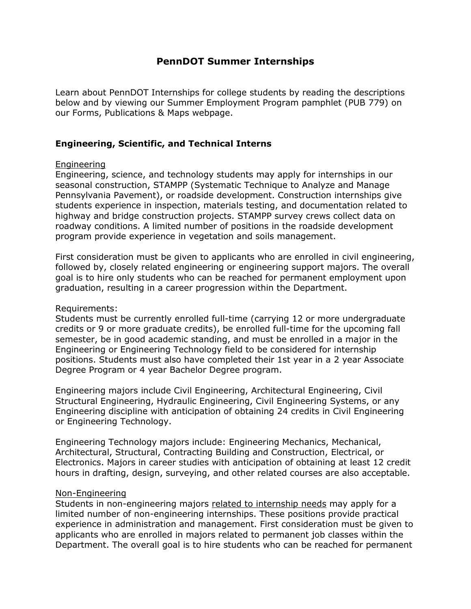# **PennDOT Summer Internships**

Learn about PennDOT Internships for college students by reading the descriptions below and by viewing our Summer Employment Program pamphlet (PUB 779) on our Forms, Publications & Maps webpage.

## **Engineering, Scientific, and Technical Interns**

### Engineering

Engineering, science, and technology students may apply for internships in our seasonal construction, STAMPP (Systematic Technique to Analyze and Manage Pennsylvania Pavement), or roadside development. Construction internships give students experience in inspection, materials testing, and documentation related to highway and bridge construction projects. STAMPP survey crews collect data on roadway conditions. A limited number of positions in the roadside development program provide experience in vegetation and soils management.

First consideration must be given to applicants who are enrolled in civil engineering, followed by, closely related engineering or engineering support majors. The overall goal is to hire only students who can be reached for permanent employment upon graduation, resulting in a career progression within the Department.

### Requirements:

Students must be currently enrolled full-time (carrying 12 or more undergraduate credits or 9 or more graduate credits), be enrolled full-time for the upcoming fall semester, be in good academic standing, and must be enrolled in a major in the Engineering or Engineering Technology field to be considered for internship positions. Students must also have completed their 1st year in a 2 year Associate Degree Program or 4 year Bachelor Degree program.

Engineering majors include Civil Engineering, Architectural Engineering, Civil Structural Engineering, Hydraulic Engineering, Civil Engineering Systems, or any Engineering discipline with anticipation of obtaining 24 credits in Civil Engineering or Engineering Technology.

Engineering Technology majors include: Engineering Mechanics, Mechanical, Architectural, Structural, Contracting Building and Construction, Electrical, or Electronics. Majors in career studies with anticipation of obtaining at least 12 credit hours in drafting, design, surveying, and other related courses are also acceptable.

### Non-Engineering

Students in non-engineering majors related to internship needs may apply for a limited number of non-engineering internships. These positions provide practical experience in administration and management. First consideration must be given to applicants who are enrolled in majors related to permanent job classes within the Department. The overall goal is to hire students who can be reached for permanent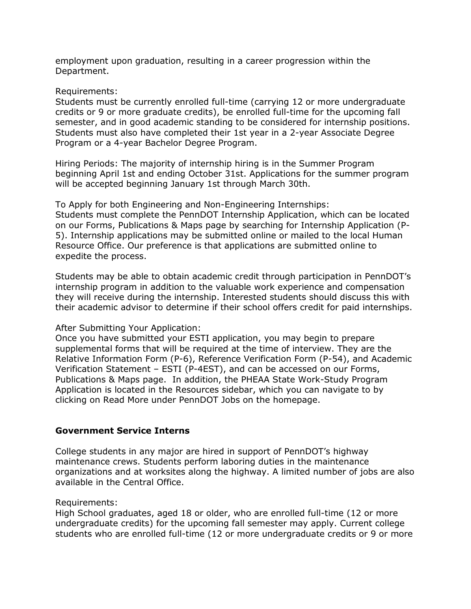employment upon graduation, resulting in a career progression within the Department.

#### Requirements:

Students must be currently enrolled full-time (carrying 12 or more undergraduate credits or 9 or more graduate credits), be enrolled full-time for the upcoming fall semester, and in good academic standing to be considered for internship positions. Students must also have completed their 1st year in a 2-year Associate Degree Program or a 4-year Bachelor Degree Program.

Hiring Periods: The majority of internship hiring is in the Summer Program beginning April 1st and ending October 31st. Applications for the summer program will be accepted beginning January 1st through March 30th.

To Apply for both Engineering and Non-Engineering Internships: Students must complete the PennDOT Internship Application, which can be located on our Forms, Publications & Maps page by searching for Internship Application (P-5). Internship applications may be submitted online or mailed to the local Human Resource Office. Our preference is that applications are submitted online to expedite the process.

Students may be able to obtain academic credit through participation in PennDOT's internship program in addition to the valuable work experience and compensation they will receive during the internship. Interested students should discuss this with their academic advisor to determine if their school offers credit for paid internships.

### After Submitting Your Application:

Once you have submitted your ESTI application, you may begin to prepare supplemental forms that will be required at the time of interview. They are the Relative Information Form (P-6), Reference Verification Form (P-54), and Academic Verification Statement – ESTI (P-4EST), and can be accessed on our Forms, Publications & Maps page. In addition, the PHEAA State Work-Study Program Application is located in the Resources sidebar, which you can navigate to by clicking on Read More under PennDOT Jobs on the homepage.

### **Government Service Interns**

College students in any major are hired in support of PennDOT's highway maintenance crews. Students perform laboring duties in the maintenance organizations and at worksites along the highway. A limited number of jobs are also available in the Central Office.

#### Requirements:

High School graduates, aged 18 or older, who are enrolled full-time (12 or more undergraduate credits) for the upcoming fall semester may apply. Current college students who are enrolled full-time (12 or more undergraduate credits or 9 or more